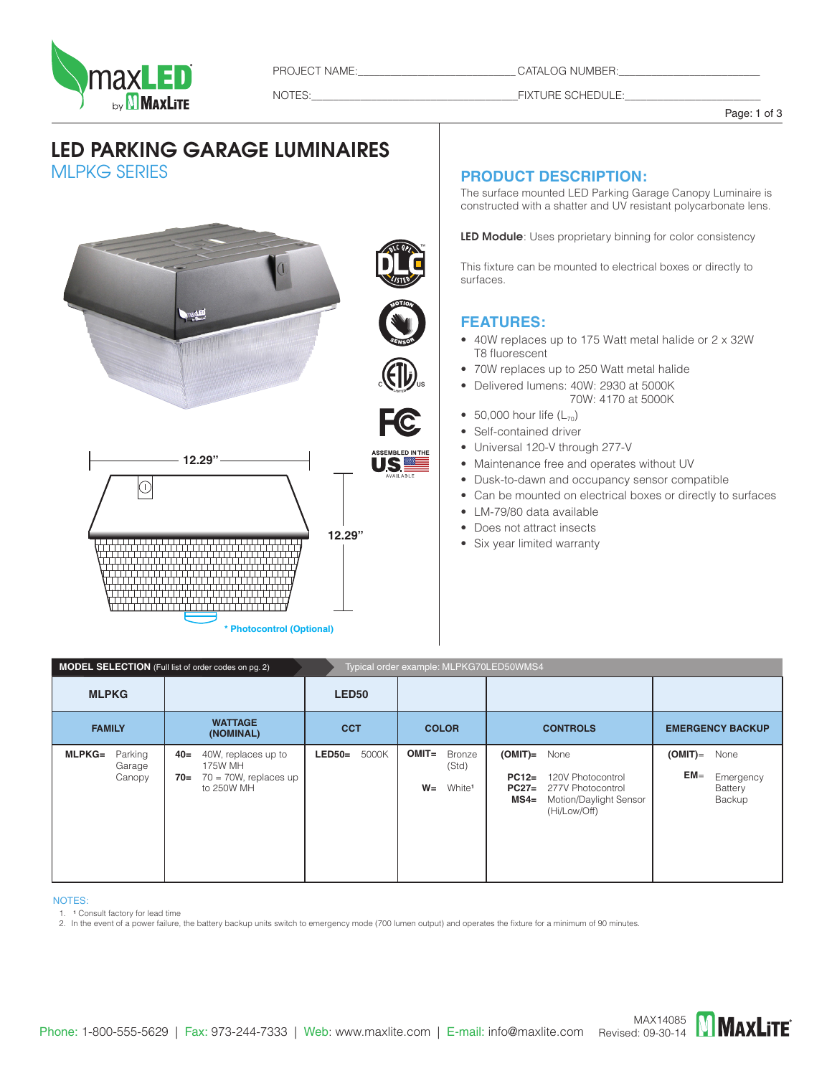

PROJECT NAME:\_\_\_\_\_\_\_\_\_\_\_\_\_\_\_\_\_\_\_\_\_\_\_\_\_\_\_\_\_\_\_\_\_\_\_CATALOG NUMBER:

NOTES:\_\_\_\_\_\_\_\_\_\_\_\_\_\_\_\_\_\_\_\_\_\_\_\_\_\_\_\_\_\_\_\_\_\_\_\_\_\_FIXTURE SCHEDULE:\_\_\_\_\_\_\_\_\_\_\_\_\_\_\_\_\_\_\_\_\_\_\_\_\_

Page: 1 of 3

# LED PARKING GARAGE LUMINAIRES MLPKG SERIES

**MOTION** nax ED **SENSOR 12.29"**  $\circledcirc$ **12.29" Photocontrol (Optional)** 

#### **PRODUCT Description:**

The surface mounted LED Parking Garage Canopy Luminaire is constructed with a shatter and UV resistant polycarbonate lens.

LED Module: Uses proprietary binning for color consistency

This fixture can be mounted to electrical boxes or directly to surfaces.

### **FEATURES:**

- • 40W replaces up to 175 Watt metal halide or 2 x 32W T8 fluorescent
- 70W replaces up to 250 Watt metal halide
- • Delivered lumens: 40W: 2930 at 5000K 70W: 4170 at 5000K
- 50,000 hour life  $(L_{70})$
- Self-contained driver
- Universal 120-V through 277-V
- Maintenance free and operates without UV
- Dusk-to-dawn and occupancy sensor compatible
- Can be mounted on electrical boxes or directly to surfaces
- • LM-79/80 data available
- Does not attract insects
- Six year limited warranty

| Typical order example: MLPKG70LED50WMS4<br><b>MODEL SELECTION</b> (Full list of order codes on pg. 2) |                                                                                          |                   |                                                                   |                                                                                                                                       |                                                                |  |
|-------------------------------------------------------------------------------------------------------|------------------------------------------------------------------------------------------|-------------------|-------------------------------------------------------------------|---------------------------------------------------------------------------------------------------------------------------------------|----------------------------------------------------------------|--|
| <b>MLPKG</b>                                                                                          |                                                                                          | LED50             |                                                                   |                                                                                                                                       |                                                                |  |
| <b>FAMILY</b>                                                                                         | <b>WATTAGE</b><br>(NOMINAL)                                                              | <b>CCT</b>        | <b>COLOR</b>                                                      | <b>CONTROLS</b>                                                                                                                       | <b>EMERGENCY BACKUP</b>                                        |  |
| Parking<br>$MLPKG=$<br>Garage<br>Canopy                                                               | 40W, replaces up to<br>$40=$<br>175W MH<br>$70 = 70W$ , replaces up<br>70=<br>to 250W MH | 5000K<br>$LED50=$ | $OMIT =$<br><b>Bronze</b><br>(Std)<br>$W =$<br>White <sup>1</sup> | $(OMIT)=$<br>None<br>120V Photocontrol<br>$PC12=$<br>277V Photocontrol<br>$PC27=$<br>Motion/Daylight Sensor<br>$MS4=$<br>(Hi/Low/Off) | $(OMIT)$ =<br>None<br>$EM =$<br>Emergency<br>Battery<br>Backup |  |

#### notes:

1. <sup>1</sup> Consult factory for lead time<br>2. In the event of a power failure, the battery backup units switch to emergency mode (700 lumen output) and operates the fixture for a minimum of 90 minutes.

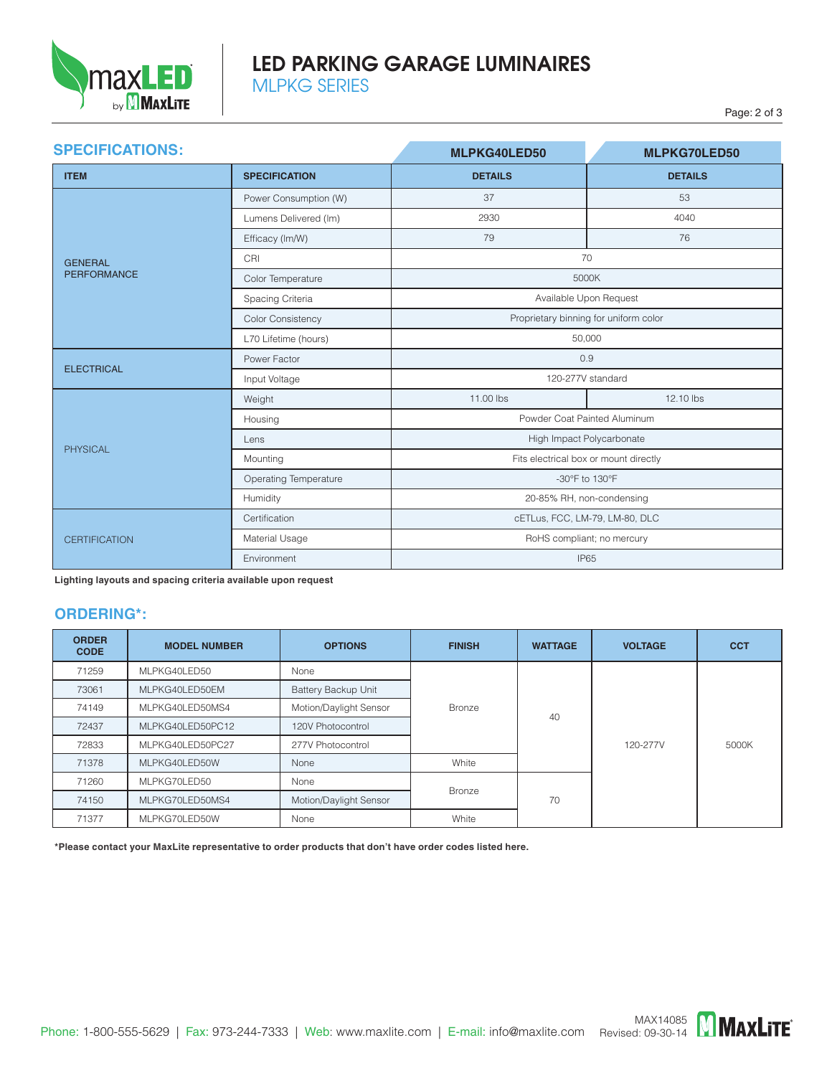

# LED PARKING GARAGE LUMINAIRES MLPKG SERIES

| <b>SPECIFICATIONS:</b> |                              | MLPKG40LED50                          | <b>MLPKG70LED50</b> |  |  |
|------------------------|------------------------------|---------------------------------------|---------------------|--|--|
| <b>ITEM</b>            | <b>SPECIFICATION</b>         | <b>DETAILS</b>                        | <b>DETAILS</b>      |  |  |
|                        | Power Consumption (W)        | 37                                    | 53                  |  |  |
|                        | Lumens Delivered (Im)        | 2930                                  | 4040                |  |  |
|                        | Efficacy (Im/W)              | 79                                    | 76                  |  |  |
| <b>GENERAL</b>         | CRI                          | 70                                    |                     |  |  |
| <b>PERFORMANCE</b>     | Color Temperature            | 5000K                                 |                     |  |  |
|                        | Spacing Criteria             | Available Upon Request                |                     |  |  |
|                        | <b>Color Consistency</b>     | Proprietary binning for uniform color |                     |  |  |
|                        | L70 Lifetime (hours)         | 50,000                                |                     |  |  |
| <b>ELECTRICAL</b>      | Power Factor                 | 0.9                                   |                     |  |  |
|                        | Input Voltage                | 120-277V standard                     |                     |  |  |
|                        | Weight                       | 11.00 lbs                             | 12.10 lbs           |  |  |
|                        | Housing                      | Powder Coat Painted Aluminum          |                     |  |  |
| PHYSICAL               | Lens                         | High Impact Polycarbonate             |                     |  |  |
|                        | Mounting                     | Fits electrical box or mount directly |                     |  |  |
|                        | <b>Operating Temperature</b> | -30°F to 130°F                        |                     |  |  |
|                        | Humidity                     | 20-85% RH, non-condensing             |                     |  |  |
|                        | Certification                | cETLus, FCC, LM-79, LM-80, DLC        |                     |  |  |
| <b>CERTIFICATION</b>   | Material Usage               | RoHS compliant; no mercury            |                     |  |  |
|                        | Environment                  | <b>IP65</b>                           |                     |  |  |

**Lighting layouts and spacing criteria available upon request** 

#### **ORDERING\*:**

| <b>ORDER</b><br><b>CODE</b> | <b>MODEL NUMBER</b> | <b>OPTIONS</b>         | <b>FINISH</b> | <b>WATTAGE</b> | <b>VOLTAGE</b> | <b>CCT</b> |
|-----------------------------|---------------------|------------------------|---------------|----------------|----------------|------------|
| 71259                       | MLPKG40LED50        | None                   |               | 40             | 120-277V       | 5000K      |
| 73061                       | MLPKG40LED50EM      | Battery Backup Unit    |               |                |                |            |
| 74149                       | MLPKG40LED50MS4     | Motion/Daylight Sensor | <b>Bronze</b> |                |                |            |
| 72437                       | MLPKG40LED50PC12    | 120V Photocontrol      |               |                |                |            |
| 72833                       | MLPKG40LED50PC27    | 277V Photocontrol      |               |                |                |            |
| 71378                       | MLPKG40LED50W       | None                   | White         |                |                |            |
| 71260                       | MLPKG70LED50        | None                   | <b>Bronze</b> | 70             |                |            |
| 74150                       | MLPKG70LED50MS4     | Motion/Daylight Sensor |               |                |                |            |
| 71377                       | MLPKG70LED50W       | None                   | White         |                |                |            |

**\*Please contact your MaxLite representative to order products that don't have order codes listed here.**